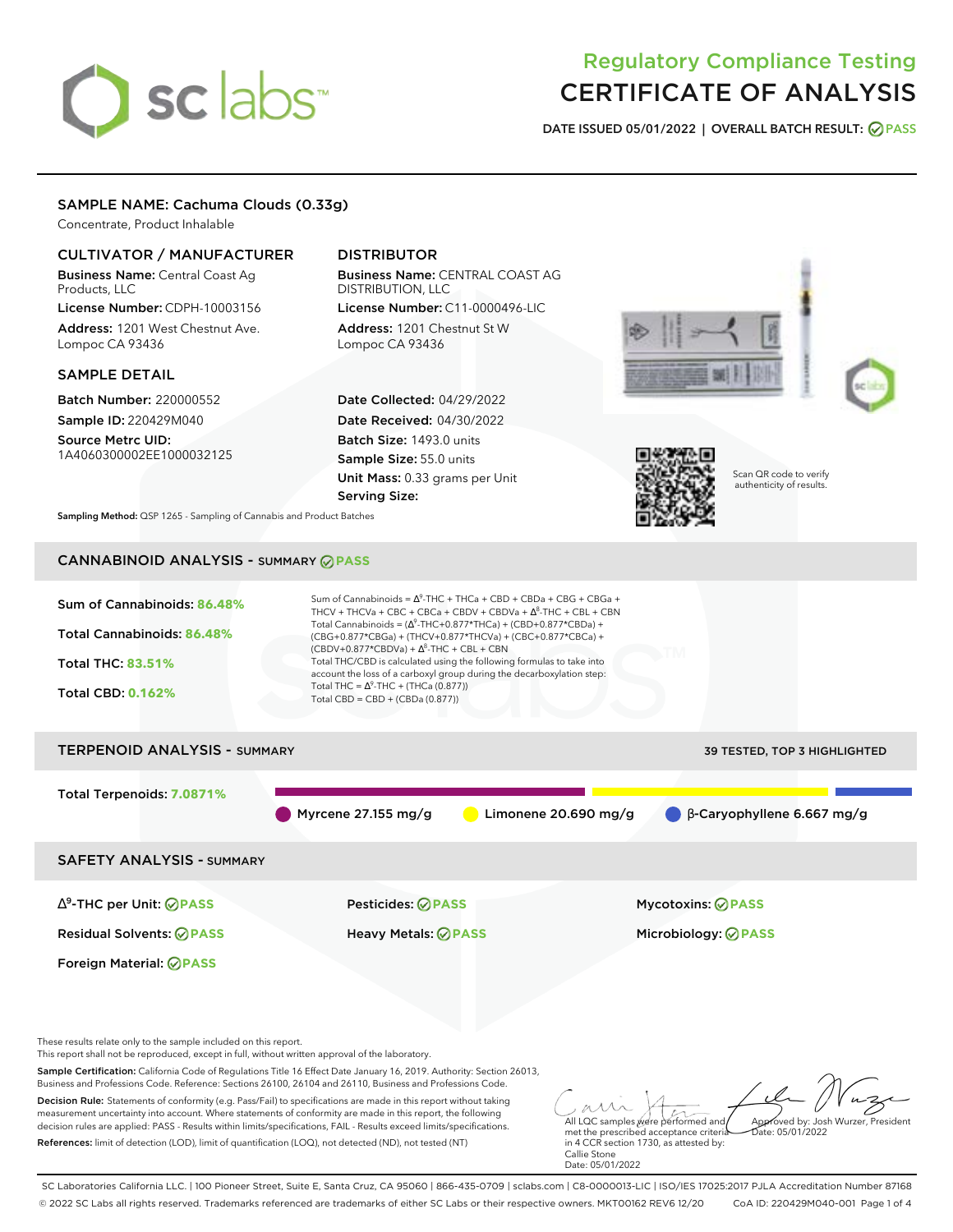# sclabs<sup>\*</sup>

# Regulatory Compliance Testing CERTIFICATE OF ANALYSIS

**DATE ISSUED 05/01/2022 | OVERALL BATCH RESULT: PASS**

# SAMPLE NAME: Cachuma Clouds (0.33g)

Concentrate, Product Inhalable

# CULTIVATOR / MANUFACTURER

Business Name: Central Coast Ag Products, LLC License Number: CDPH-10003156

Address: 1201 West Chestnut Ave. Lompoc CA 93436

# SAMPLE DETAIL

Batch Number: 220000552 Sample ID: 220429M040 Source Metrc UID:

1A4060300002EE1000032125

# DISTRIBUTOR

Business Name: CENTRAL COAST AG DISTRIBUTION, LLC License Number: C11-0000496-LIC

Address: 1201 Chestnut St W Lompoc CA 93436

Date Collected: 04/29/2022 Date Received: 04/30/2022 Batch Size: 1493.0 units Sample Size: 55.0 units Unit Mass: 0.33 grams per Unit Serving Size:







Scan QR code to verify authenticity of results.

**Sampling Method:** QSP 1265 - Sampling of Cannabis and Product Batches

# CANNABINOID ANALYSIS - SUMMARY **PASS**

| Sum of Cannabinoids: 86.48%<br>Total Cannabinoids: 86.48%<br><b>Total THC: 83.51%</b><br><b>Total CBD: 0.162%</b> | Sum of Cannabinoids = $\Delta^9$ -THC + THCa + CBD + CBDa + CBG + CBGa +<br>THCV + THCVa + CBC + CBCa + CBDV + CBDVa + $\Delta^8$ -THC + CBL + CBN<br>Total Cannabinoids = $(\Delta^9$ -THC+0.877*THCa) + (CBD+0.877*CBDa) +<br>(CBG+0.877*CBGa) + (THCV+0.877*THCVa) + (CBC+0.877*CBCa) +<br>$(CBDV+0.877*CBDVa) + \Delta^8$ -THC + CBL + CBN<br>Total THC/CBD is calculated using the following formulas to take into<br>account the loss of a carboxyl group during the decarboxylation step:<br>Total THC = $\Delta^9$ -THC + (THCa (0.877))<br>Total CBD = $CBD + (CBDa (0.877))$ |                                              |
|-------------------------------------------------------------------------------------------------------------------|----------------------------------------------------------------------------------------------------------------------------------------------------------------------------------------------------------------------------------------------------------------------------------------------------------------------------------------------------------------------------------------------------------------------------------------------------------------------------------------------------------------------------------------------------------------------------------------|----------------------------------------------|
| <b>TERPENOID ANALYSIS - SUMMARY</b>                                                                               |                                                                                                                                                                                                                                                                                                                                                                                                                                                                                                                                                                                        | <b>39 TESTED, TOP 3 HIGHLIGHTED</b>          |
| Total Terpenoids: 7.0871%                                                                                         | Myrcene $27.155$ mg/g<br>Limonene 20.690 mg/g                                                                                                                                                                                                                                                                                                                                                                                                                                                                                                                                          | $\bigcirc$ $\beta$ -Caryophyllene 6.667 mg/g |
| <b>SAFETY ANALYSIS - SUMMARY</b>                                                                                  |                                                                                                                                                                                                                                                                                                                                                                                                                                                                                                                                                                                        |                                              |

Foreign Material: **PASS**

Residual Solvents: **PASS** Heavy Metals: **PASS** Microbiology: **PASS**

∆ 9 -THC per Unit: **PASS** Pesticides: **PASS** Mycotoxins: **PASS**

These results relate only to the sample included on this report.

This report shall not be reproduced, except in full, without written approval of the laboratory.

Sample Certification: California Code of Regulations Title 16 Effect Date January 16, 2019. Authority: Section 26013, Business and Professions Code. Reference: Sections 26100, 26104 and 26110, Business and Professions Code.

Decision Rule: Statements of conformity (e.g. Pass/Fail) to specifications are made in this report without taking measurement uncertainty into account. Where statements of conformity are made in this report, the following decision rules are applied: PASS - Results within limits/specifications, FAIL - Results exceed limits/specifications. References: limit of detection (LOD), limit of quantification (LOQ), not detected (ND), not tested (NT)

All LQC samples were performed and met the prescribed acceptance criteria Approved by: Josh Wurzer, President  $hat: 05/01/2022$ 

in 4 CCR section 1730, as attested by: Callie Stone Date: 05/01/2022

SC Laboratories California LLC. | 100 Pioneer Street, Suite E, Santa Cruz, CA 95060 | 866-435-0709 | sclabs.com | C8-0000013-LIC | ISO/IES 17025:2017 PJLA Accreditation Number 87168 © 2022 SC Labs all rights reserved. Trademarks referenced are trademarks of either SC Labs or their respective owners. MKT00162 REV6 12/20 CoA ID: 220429M040-001 Page 1 of 4